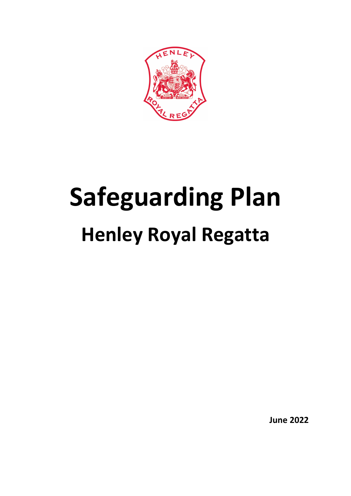

# **Safeguarding Plan Henley Royal Regatta**

**June 2022**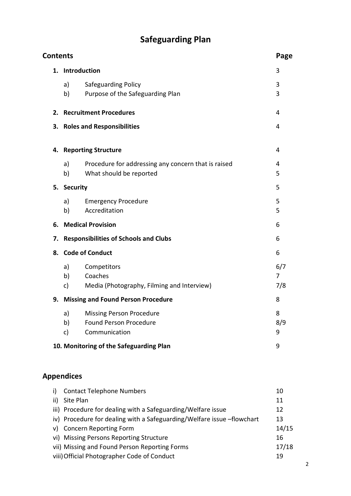# **Safeguarding Plan**

| <b>Contents</b> |                                              |                                                     | Page |  |
|-----------------|----------------------------------------------|-----------------------------------------------------|------|--|
| 1.              | Introduction                                 | 3                                                   |      |  |
|                 | a)                                           | Safeguarding Policy                                 | 3    |  |
|                 | b)                                           | Purpose of the Safeguarding Plan                    | 3    |  |
| 2.              |                                              | <b>Recruitment Procedures</b>                       | 4    |  |
| 3.              |                                              | <b>Roles and Responsibilities</b>                   | 4    |  |
|                 |                                              | 4. Reporting Structure                              | 4    |  |
|                 | a)                                           | Procedure for addressing any concern that is raised | 4    |  |
|                 | b)                                           | What should be reported                             | 5    |  |
| 5.              | <b>Security</b>                              |                                                     | 5    |  |
|                 | a)                                           | <b>Emergency Procedure</b>                          | 5    |  |
|                 | b)                                           | Accreditation                                       | 5    |  |
| 6.              |                                              | <b>Medical Provision</b>                            | 6    |  |
| 7.              | <b>Responsibilities of Schools and Clubs</b> |                                                     |      |  |
| 8.              |                                              | <b>Code of Conduct</b>                              | 6    |  |
|                 | a)                                           | Competitors                                         | 6/7  |  |
|                 | b)                                           | Coaches                                             | 7    |  |
|                 | c)                                           | Media (Photography, Filming and Interview)          | 7/8  |  |
| 9.              |                                              | <b>Missing and Found Person Procedure</b>           | 8    |  |
|                 | a)                                           | <b>Missing Person Procedure</b>                     | 8    |  |
|                 | b)                                           | <b>Found Person Procedure</b>                       | 8/9  |  |
|                 | c)                                           | Communication                                       | 9    |  |
|                 |                                              | 10. Monitoring of the Safeguarding Plan             | 9    |  |
|                 |                                              |                                                     |      |  |

## **Appendices**

| i)  | <b>Contact Telephone Numbers</b>                                       | 10    |
|-----|------------------------------------------------------------------------|-------|
| ii) | Site Plan                                                              | 11    |
|     | iii) Procedure for dealing with a Safeguarding/Welfare issue           | 12    |
|     | iv) Procedure for dealing with a Safeguarding/Welfare issue -flowchart | 13    |
| v)  | <b>Concern Reporting Form</b>                                          | 14/15 |
|     | vi) Missing Persons Reporting Structure                                | 16    |
|     | vii) Missing and Found Person Reporting Forms                          | 17/18 |
|     | viii) Official Photographer Code of Conduct                            | 19    |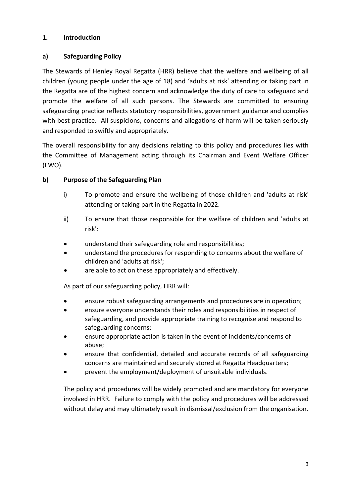#### **1. Introduction**

#### **a) Safeguarding Policy**

The Stewards of Henley Royal Regatta (HRR) believe that the welfare and wellbeing of all children (young people under the age of 18) and 'adults at risk' attending or taking part in the Regatta are of the highest concern and acknowledge the duty of care to safeguard and promote the welfare of all such persons. The Stewards are committed to ensuring safeguarding practice reflects statutory responsibilities, government guidance and complies with best practice. All suspicions, concerns and allegations of harm will be taken seriously and responded to swiftly and appropriately.

The overall responsibility for any decisions relating to this policy and procedures lies with the Committee of Management acting through its Chairman and Event Welfare Officer (EWO).

#### **b) Purpose of the Safeguarding Plan**

- i) To promote and ensure the wellbeing of those children and 'adults at risk' attending or taking part in the Regatta in 2022.
- ii) To ensure that those responsible for the welfare of children and 'adults at risk':
- understand their safeguarding role and responsibilities;
- understand the procedures for responding to concerns about the welfare of children and 'adults at risk';
- are able to act on these appropriately and effectively.

As part of our safeguarding policy, HRR will:

- ensure robust safeguarding arrangements and procedures are in operation;
- ensure everyone understands their roles and responsibilities in respect of safeguarding, and provide appropriate training to recognise and respond to safeguarding concerns;
- ensure appropriate action is taken in the event of incidents/concerns of abuse;
- ensure that confidential, detailed and accurate records of all safeguarding concerns are maintained and securely stored at Regatta Headquarters;
- prevent the employment/deployment of unsuitable individuals.

The policy and procedures will be widely promoted and are mandatory for everyone involved in HRR. Failure to comply with the policy and procedures will be addressed without delay and may ultimately result in dismissal/exclusion from the organisation.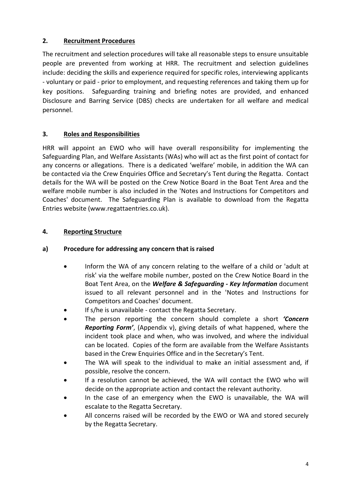#### **2. Recruitment Procedures**

The recruitment and selection procedures will take all reasonable steps to ensure unsuitable people are prevented from working at HRR. The recruitment and selection guidelines include: deciding the skills and experience required for specific roles, interviewing applicants - voluntary or paid - prior to employment, and requesting references and taking them up for key positions. Safeguarding training and briefing notes are provided, and enhanced Disclosure and Barring Service (DBS) checks are undertaken for all welfare and medical personnel.

#### **3. Roles and Responsibilities**

HRR will appoint an EWO who will have overall responsibility for implementing the Safeguarding Plan, and Welfare Assistants (WAs) who will act as the first point of contact for any concerns or allegations. There is a dedicated 'welfare' mobile, in addition the WA can be contacted via the Crew Enquiries Office and Secretary's Tent during the Regatta. Contact details for the WA will be posted on the Crew Notice Board in the Boat Tent Area and the welfare mobile number is also included in the 'Notes and Instructions for Competitors and Coaches' document. The Safeguarding Plan is available to download from the Regatta Entries website (www.regattaentries.co.uk).

#### **4. Reporting Structure**

#### **a) Procedure for addressing any concern that is raised**

- Inform the WA of any concern relating to the welfare of a child or 'adult at risk' via the welfare mobile number, posted on the Crew Notice Board in the Boat Tent Area, on the *Welfare & Safeguarding - Key Information* document issued to all relevant personnel and in the 'Notes and Instructions for Competitors and Coaches' document.
- If s/he is unavailable contact the Regatta Secretary.
- The person reporting the concern should complete a short *'Concern Reporting Form'*, (Appendix v), giving details of what happened, where the incident took place and when, who was involved, and where the individual can be located. Copies of the form are available from the Welfare Assistants based in the Crew Enquiries Office and in the Secretary's Tent.
- The WA will speak to the individual to make an initial assessment and, if possible, resolve the concern.
- If a resolution cannot be achieved, the WA will contact the EWO who will decide on the appropriate action and contact the relevant authority.
- In the case of an emergency when the EWO is unavailable, the WA will escalate to the Regatta Secretary.
- All concerns raised will be recorded by the EWO or WA and stored securely by the Regatta Secretary.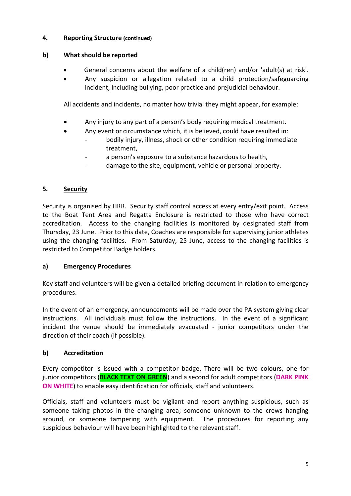#### **4. Reporting Structure (continued)**

#### **b) What should be reported**

- General concerns about the welfare of a child(ren) and/or 'adult(s) at risk'.
- Any suspicion or allegation related to a child protection/safeguarding incident, including bullying, poor practice and prejudicial behaviour.

All accidents and incidents, no matter how trivial they might appear, for example:

- Any injury to any part of a person's body requiring medical treatment.
- Any event or circumstance which, it is believed, could have resulted in:
	- bodily injury, illness, shock or other condition requiring immediate treatment,
	- a person's exposure to a substance hazardous to health,
	- damage to the site, equipment, vehicle or personal property.

#### **5. Security**

Security is organised by HRR. Security staff control access at every entry/exit point. Access to the Boat Tent Area and Regatta Enclosure is restricted to those who have correct accreditation. Access to the changing facilities is monitored by designated staff from Thursday, 23 June. Prior to this date, Coaches are responsible for supervising junior athletes using the changing facilities. From Saturday, 25 June, access to the changing facilities is restricted to Competitor Badge holders.

#### **a) Emergency Procedures**

Key staff and volunteers will be given a detailed briefing document in relation to emergency procedures.

In the event of an emergency, announcements will be made over the PA system giving clear instructions. All individuals must follow the instructions. In the event of a significant incident the venue should be immediately evacuated - junior competitors under the direction of their coach (if possible).

#### **b) Accreditation**

Every competitor is issued with a competitor badge. There will be two colours, one for junior competitors (**BLACK TEXT ON GREEN**) and a second for adult competitors (**DARK PINK ON WHITE**) to enable easy identification for officials, staff and volunteers.

Officials, staff and volunteers must be vigilant and report anything suspicious, such as someone taking photos in the changing area; someone unknown to the crews hanging around, or someone tampering with equipment. The procedures for reporting any suspicious behaviour will have been highlighted to the relevant staff.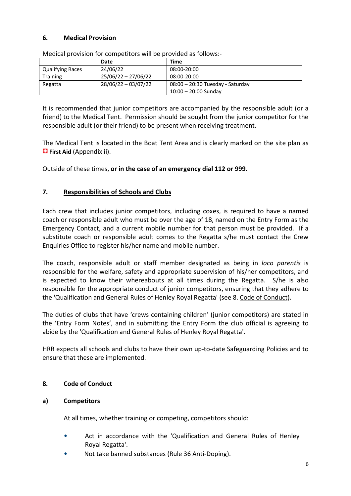#### **6. Medical Provision**

|                         | Date                  | Time                               |
|-------------------------|-----------------------|------------------------------------|
| <b>Qualifying Races</b> | 24/06/22              | 08:00-20:00                        |
| <b>Training</b>         | $25/06/22 - 27/06/22$ | 08:00-20:00                        |
| Regatta                 | $28/06/22 - 03/07/22$ | $08:00 - 20:30$ Tuesday - Saturday |
|                         |                       | $10:00 - 20:00$ Sunday             |

Medical provision for competitors will be provided as follows:-

It is recommended that junior competitors are accompanied by the responsible adult (or a friend) to the Medical Tent. Permission should be sought from the junior competitor for the responsible adult (or their friend) to be present when receiving treatment.

The Medical Tent is located in the Boat Tent Area and is clearly marked on the site plan as  **First Aid** (Appendix ii).

Outside of these times, **or in the case of an emergency dial 112 or 999.** 

#### **7. Responsibilities of Schools and Clubs**

Each crew that includes junior competitors, including coxes, is required to have a named coach or responsible adult who must be over the age of 18, named on the Entry Form as the Emergency Contact, and a current mobile number for that person must be provided. If a substitute coach or responsible adult comes to the Regatta s/he must contact the Crew Enquiries Office to register his/her name and mobile number.

The coach, responsible adult or staff member designated as being in *loco parentis* is responsible for the welfare, safety and appropriate supervision of his/her competitors, and is expected to know their whereabouts at all times during the Regatta. S/he is also responsible for the appropriate conduct of junior competitors, ensuring that they adhere to the 'Qualification and General Rules of Henley Royal Regatta' (see 8. Code of Conduct).

The duties of clubs that have 'crews containing children' (junior competitors) are stated in the 'Entry Form Notes', and in submitting the Entry Form the club official is agreeing to abide by the 'Qualification and General Rules of Henley Royal Regatta'.

HRR expects all schools and clubs to have their own up-to-date Safeguarding Policies and to ensure that these are implemented.

#### **8. Code of Conduct**

#### **a) Competitors**

At all times, whether training or competing, competitors should:

- Act in accordance with the 'Qualification and General Rules of Henley Royal Regatta'.
- Not take banned substances (Rule 36 Anti-Doping).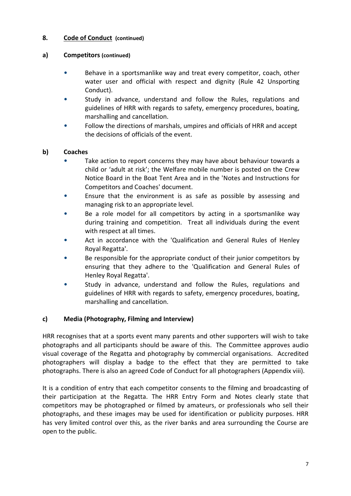#### **8. Code of Conduct (continued)**

#### **a) Competitors (continued)**

- Behave in a sportsmanlike way and treat every competitor, coach, other water user and official with respect and dignity (Rule 42 Unsporting Conduct).
- Study in advance, understand and follow the Rules, regulations and guidelines of HRR with regards to safety, emergency procedures, boating, marshalling and cancellation.
- Follow the directions of marshals, umpires and officials of HRR and accept the decisions of officials of the event.

#### **b) Coaches**

- Take action to report concerns they may have about behaviour towards a child or 'adult at risk'; the Welfare mobile number is posted on the Crew Notice Board in the Boat Tent Area and in the 'Notes and Instructions for Competitors and Coaches' document.
- Ensure that the environment is as safe as possible by assessing and managing risk to an appropriate level.
- Be a role model for all competitors by acting in a sportsmanlike way during training and competition. Treat all individuals during the event with respect at all times.
- Act in accordance with the 'Qualification and General Rules of Henley Royal Regatta'.
- Be responsible for the appropriate conduct of their junior competitors by ensuring that they adhere to the 'Qualification and General Rules of Henley Royal Regatta'.
- Study in advance, understand and follow the Rules, regulations and guidelines of HRR with regards to safety, emergency procedures, boating, marshalling and cancellation.

#### **c) Media (Photography, Filming and Interview)**

HRR recognises that at a sports event many parents and other supporters will wish to take photographs and all participants should be aware of this. The Committee approves audio visual coverage of the Regatta and photography by commercial organisations. Accredited photographers will display a badge to the effect that they are permitted to take photographs. There is also an agreed Code of Conduct for all photographers (Appendix viii).

It is a condition of entry that each competitor consents to the filming and broadcasting of their participation at the Regatta. The HRR Entry Form and Notes clearly state that competitors may be photographed or filmed by amateurs, or professionals who sell their photographs, and these images may be used for identification or publicity purposes. HRR has very limited control over this, as the river banks and area surrounding the Course are open to the public.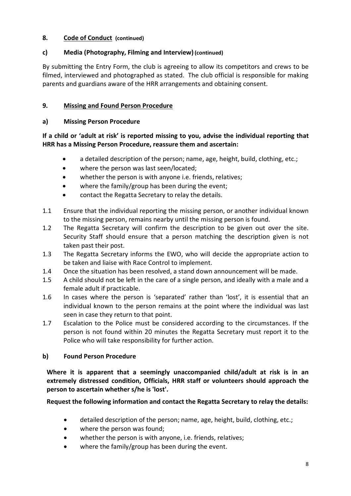#### **8. Code of Conduct (continued)**

#### **c) Media (Photography, Filming and Interview)(continued)**

By submitting the Entry Form, the club is agreeing to allow its competitors and crews to be filmed, interviewed and photographed as stated. The club official is responsible for making parents and guardians aware of the HRR arrangements and obtaining consent.

#### **9. Missing and Found Person Procedure**

#### **a) Missing Person Procedure**

#### **If a child or 'adult at risk' is reported missing to you, advise the individual reporting that HRR has a Missing Person Procedure, reassure them and ascertain:**

- a detailed description of the person; name, age, height, build, clothing, etc.;
- where the person was last seen/located;
- whether the person is with anyone i.e. friends, relatives;
- where the family/group has been during the event;
- contact the Regatta Secretary to relay the details.
- 1.1 Ensure that the individual reporting the missing person, or another individual known to the missing person, remains nearby until the missing person is found.
- 1.2 The Regatta Secretary will confirm the description to be given out over the site. Security Staff should ensure that a person matching the description given is not taken past their post.
- 1.3 The Regatta Secretary informs the EWO, who will decide the appropriate action to be taken and liaise with Race Control to implement.
- 1.4 Once the situation has been resolved, a stand down announcement will be made.
- 1.5 A child should not be left in the care of a single person, and ideally with a male and a female adult if practicable.
- 1.6 In cases where the person is 'separated' rather than 'lost', it is essential that an individual known to the person remains at the point where the individual was last seen in case they return to that point.
- 1.7 Escalation to the Police must be considered according to the circumstances. If the person is not found within 20 minutes the Regatta Secretary must report it to the Police who will take responsibility for further action.

#### **b) Found Person Procedure**

**Where it is apparent that a seemingly unaccompanied child/adult at risk is in an extremely distressed condition, Officials, HRR staff or volunteers should approach the person to ascertain whether s/he is 'lost'.** 

#### **Request the following information and contact the Regatta Secretary to relay the details:**

- detailed description of the person; name, age, height, build, clothing, etc.;
- where the person was found;
- whether the person is with anyone, i.e. friends, relatives;
- where the family/group has been during the event.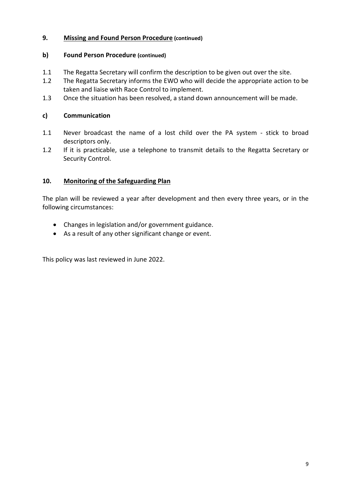#### **9. Missing and Found Person Procedure (continued)**

#### **b) Found Person Procedure (continued)**

- 1.1 The Regatta Secretary will confirm the description to be given out over the site.
- 1.2 The Regatta Secretary informs the EWO who will decide the appropriate action to be taken and liaise with Race Control to implement.
- 1.3 Once the situation has been resolved, a stand down announcement will be made.

#### **c) Communication**

- 1.1 Never broadcast the name of a lost child over the PA system stick to broad descriptors only.
- 1.2 If it is practicable, use a telephone to transmit details to the Regatta Secretary or Security Control.

#### **10. Monitoring of the Safeguarding Plan**

The plan will be reviewed a year after development and then every three years, or in the following circumstances:

- Changes in legislation and/or government guidance.
- As a result of any other significant change or event.

This policy was last reviewed in June 2022.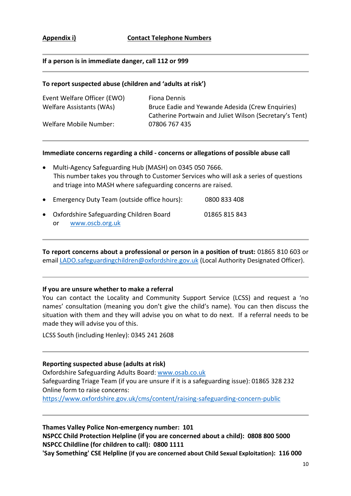#### **If a person is in immediate danger, call 112 or 999**

#### **To report suspected abuse (children and 'adults at risk')**

| Event Welfare Officer (EWO) | Fiona Dennis                                            |
|-----------------------------|---------------------------------------------------------|
| Welfare Assistants (WAs)    | Bruce Eadie and Yewande Adesida (Crew Enquiries)        |
|                             | Catherine Portwain and Juliet Wilson (Secretary's Tent) |
| Welfare Mobile Number:      | 07806 767 435                                           |
|                             |                                                         |

#### **Immediate concerns regarding a child - concerns or allegations of possible abuse call**

- Multi-Agency Safeguarding Hub (MASH) on 0345 050 7666. This number takes you through to Customer Services who will ask a series of questions and triage into MASH where safeguarding concerns are raised.
- Emergency Duty Team (outside office hours): 0800 833 408 • Oxfordshire Safeguarding Children Board 01865 815 843 or www.oscb.org.uk

**To report concerns about a professional or person in a position of trust:** 01865 810 603 or email LADO.safeguardingchildren@oxfordshire.gov.uk (Local Authority Designated Officer).

#### **If you are unsure whether to make a referral**

You can contact the Locality and Community Support Service (LCSS) and request a 'no names' consultation (meaning you don't give the child's name). You can then discuss the situation with them and they will advise you on what to do next. If a referral needs to be made they will advise you of this.

LCSS South (including Henley): 0345 241 2608

#### **Reporting suspected abuse (adults at risk)**

Oxfordshire Safeguarding Adults Board: www.osab.co.uk Safeguarding Triage Team (if you are unsure if it is a safeguarding issue): 01865 328 232 Online form to raise concerns: https://www.oxfordshire.gov.uk/cms/content/raising-safeguarding-concern-public

**Thames Valley Police Non-emergency number: 101 NSPCC Child Protection Helpline (if you are concerned about a child): 0808 800 5000 NSPCC Childline (for children to call): 0800 1111 'Say Something' CSE Helpline (if you are concerned about Child Sexual Exploitation): 116 000**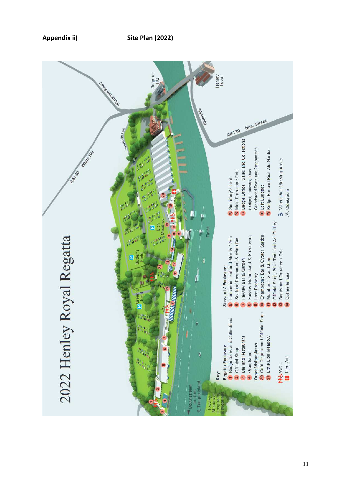

**Appendix ii)** Site Plan (2022)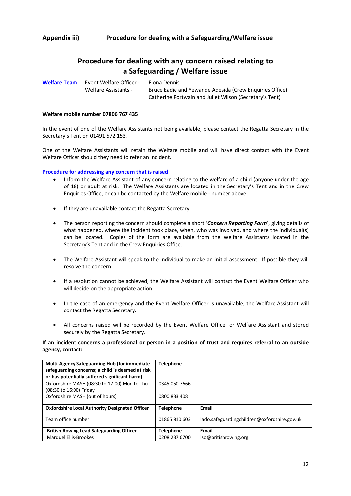#### **Procedure for dealing with any concern raised relating to a Safeguarding / Welfare issue**

**Welfare Team** Event Welfare Officer - Fiona Dennis

Welfare Assistants - Bruce Eadie and Yewande Adesida (Crew Enquiries Office) Catherine Portwain and Juliet Wilson (Secretary's Tent)

#### **Welfare mobile number 07806 767 435**

In the event of one of the Welfare Assistants not being available, please contact the Regatta Secretary in the Secretary's Tent on 01491 572 153.

One of the Welfare Assistants will retain the Welfare mobile and will have direct contact with the Event Welfare Officer should they need to refer an incident.

**Procedure for addressing any concern that is raised**

- Inform the Welfare Assistant of any concern relating to the welfare of a child (anyone under the age of 18) or adult at risk. The Welfare Assistants are located in the Secretary's Tent and in the Crew Enquiries Office, or can be contacted by the Welfare mobile - number above.
- If they are unavailable contact the Regatta Secretary.
- The person reporting the concern should complete a short '*Concern Reporting Form*', giving details of what happened, where the incident took place, when, who was involved, and where the individual(s) can be located. Copies of the form are available from the Welfare Assistants located in the Secretary's Tent and in the Crew Enquiries Office.
- The Welfare Assistant will speak to the individual to make an initial assessment. If possible they will resolve the concern.
- If a resolution cannot be achieved, the Welfare Assistant will contact the Event Welfare Officer who will decide on the appropriate action.
- In the case of an emergency and the Event Welfare Officer is unavailable, the Welfare Assistant will contact the Regatta Secretary.
- All concerns raised will be recorded by the Event Welfare Officer or Welfare Assistant and stored securely by the Regatta Secretary.

#### **If an incident concerns a professional or person in a position of trust and requires referral to an outside agency, contact:**

| Multi-Agency Safeguarding Hub (for immediate<br>safeguarding concerns; a child is deemed at risk<br>or has potentially suffered significant harm) | <b>Telephone</b> |                                              |
|---------------------------------------------------------------------------------------------------------------------------------------------------|------------------|----------------------------------------------|
| Oxfordshire MASH (08:30 to 17:00) Mon to Thu<br>(08:30 to 16:00) Friday                                                                           | 0345 050 7666    |                                              |
| Oxfordshire MASH (out of hours)                                                                                                                   | 0800 833 408     |                                              |
| <b>Oxfordshire Local Authority Designated Officer</b>                                                                                             | <b>Telephone</b> | Email                                        |
| Team office number                                                                                                                                | 01865 810 603    | lado.safeguardingchildren@oxfordshire.gov.uk |
| <b>British Rowing Lead Safeguarding Officer</b>                                                                                                   | <b>Telephone</b> | Email                                        |
| Marquel Ellis-Brookes                                                                                                                             | 0208 237 6700    | lso@britishrowing.org                        |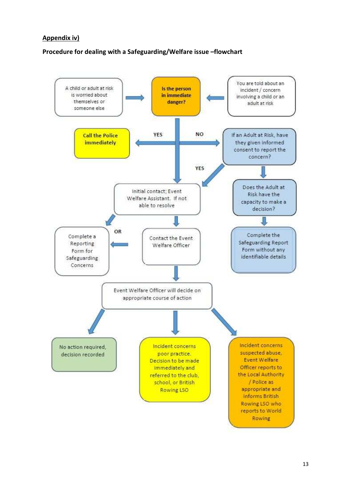#### **Appendix iv)**

#### **Procedure for dealing with a Safeguarding/Welfare issue –flowchart**

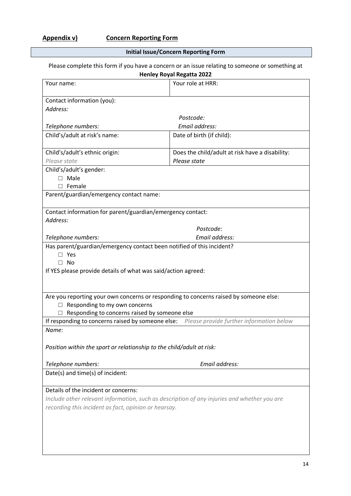**Initial Issue/Concern Reporting Form** 

### Please complete this form if you have a concern or an issue relating to someone or something at

| <b>Henley Royal Regatta 2022</b>                                                              |                                                 |  |  |  |  |  |  |
|-----------------------------------------------------------------------------------------------|-------------------------------------------------|--|--|--|--|--|--|
| Your name:                                                                                    | Your role at HRR:                               |  |  |  |  |  |  |
|                                                                                               |                                                 |  |  |  |  |  |  |
| Contact information (you):                                                                    |                                                 |  |  |  |  |  |  |
| Address:                                                                                      |                                                 |  |  |  |  |  |  |
|                                                                                               | Postcode:                                       |  |  |  |  |  |  |
| Telephone numbers:                                                                            | Email address:                                  |  |  |  |  |  |  |
| Child's/adult at risk's name:                                                                 | Date of birth (if child):                       |  |  |  |  |  |  |
| Child's/adult's ethnic origin:                                                                | Does the child/adult at risk have a disability: |  |  |  |  |  |  |
| Please state                                                                                  | Please state                                    |  |  |  |  |  |  |
| Child's/adult's gender:                                                                       |                                                 |  |  |  |  |  |  |
| Male<br>п                                                                                     |                                                 |  |  |  |  |  |  |
| Female<br>П                                                                                   |                                                 |  |  |  |  |  |  |
| Parent/guardian/emergency contact name:                                                       |                                                 |  |  |  |  |  |  |
|                                                                                               |                                                 |  |  |  |  |  |  |
| Contact information for parent/guardian/emergency contact:                                    |                                                 |  |  |  |  |  |  |
| Address:                                                                                      |                                                 |  |  |  |  |  |  |
|                                                                                               | Postcode:                                       |  |  |  |  |  |  |
| Telephone numbers:                                                                            | Email address:                                  |  |  |  |  |  |  |
| Has parent/guardian/emergency contact been notified of this incident?                         |                                                 |  |  |  |  |  |  |
| Yes<br>п                                                                                      |                                                 |  |  |  |  |  |  |
| - No<br>П                                                                                     |                                                 |  |  |  |  |  |  |
| If YES please provide details of what was said/action agreed:                                 |                                                 |  |  |  |  |  |  |
|                                                                                               |                                                 |  |  |  |  |  |  |
|                                                                                               |                                                 |  |  |  |  |  |  |
| Are you reporting your own concerns or responding to concerns raised by someone else:         |                                                 |  |  |  |  |  |  |
| Responding to my own concerns<br>$\Box$                                                       |                                                 |  |  |  |  |  |  |
| Responding to concerns raised by someone else                                                 |                                                 |  |  |  |  |  |  |
| If responding to concerns raised by someone else:<br>Please provide further information below |                                                 |  |  |  |  |  |  |
| Name:                                                                                         |                                                 |  |  |  |  |  |  |
|                                                                                               |                                                 |  |  |  |  |  |  |
| Position within the sport or relationship to the child/adult at risk:                         |                                                 |  |  |  |  |  |  |
| Telephone numbers:                                                                            | Email address:                                  |  |  |  |  |  |  |
| Date(s) and time(s) of incident:                                                              |                                                 |  |  |  |  |  |  |
|                                                                                               |                                                 |  |  |  |  |  |  |
| Details of the incident or concerns:                                                          |                                                 |  |  |  |  |  |  |
| Include other relevant information, such as description of any injuries and whether you are   |                                                 |  |  |  |  |  |  |
| recording this incident as fact, opinion or hearsay.                                          |                                                 |  |  |  |  |  |  |
|                                                                                               |                                                 |  |  |  |  |  |  |
|                                                                                               |                                                 |  |  |  |  |  |  |
|                                                                                               |                                                 |  |  |  |  |  |  |
|                                                                                               |                                                 |  |  |  |  |  |  |
|                                                                                               |                                                 |  |  |  |  |  |  |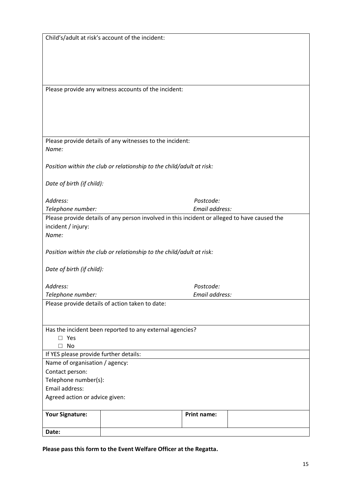|                                                          | Child's/adult at risk's account of the incident:                                             |                    |  |  |  |  |  |
|----------------------------------------------------------|----------------------------------------------------------------------------------------------|--------------------|--|--|--|--|--|
|                                                          |                                                                                              |                    |  |  |  |  |  |
|                                                          |                                                                                              |                    |  |  |  |  |  |
|                                                          |                                                                                              |                    |  |  |  |  |  |
|                                                          |                                                                                              |                    |  |  |  |  |  |
|                                                          |                                                                                              |                    |  |  |  |  |  |
|                                                          | Please provide any witness accounts of the incident:                                         |                    |  |  |  |  |  |
|                                                          |                                                                                              |                    |  |  |  |  |  |
|                                                          |                                                                                              |                    |  |  |  |  |  |
|                                                          |                                                                                              |                    |  |  |  |  |  |
|                                                          |                                                                                              |                    |  |  |  |  |  |
|                                                          |                                                                                              |                    |  |  |  |  |  |
|                                                          | Please provide details of any witnesses to the incident:                                     |                    |  |  |  |  |  |
| Name:                                                    |                                                                                              |                    |  |  |  |  |  |
|                                                          |                                                                                              |                    |  |  |  |  |  |
|                                                          | Position within the club or relationship to the child/adult at risk:                         |                    |  |  |  |  |  |
|                                                          |                                                                                              |                    |  |  |  |  |  |
| Date of birth (if child):                                |                                                                                              |                    |  |  |  |  |  |
|                                                          |                                                                                              |                    |  |  |  |  |  |
| Address:                                                 |                                                                                              | Postcode:          |  |  |  |  |  |
| Telephone number:                                        |                                                                                              | Email address:     |  |  |  |  |  |
|                                                          | Please provide details of any person involved in this incident or alleged to have caused the |                    |  |  |  |  |  |
| incident / injury:                                       |                                                                                              |                    |  |  |  |  |  |
| Name:                                                    |                                                                                              |                    |  |  |  |  |  |
|                                                          |                                                                                              |                    |  |  |  |  |  |
|                                                          | Position within the club or relationship to the child/adult at risk:                         |                    |  |  |  |  |  |
|                                                          |                                                                                              |                    |  |  |  |  |  |
| Date of birth (if child):                                |                                                                                              |                    |  |  |  |  |  |
|                                                          |                                                                                              |                    |  |  |  |  |  |
| Address:<br>Postcode:                                    |                                                                                              |                    |  |  |  |  |  |
| Telephone number:<br>Email address:                      |                                                                                              |                    |  |  |  |  |  |
|                                                          | Please provide details of action taken to date:                                              |                    |  |  |  |  |  |
|                                                          |                                                                                              |                    |  |  |  |  |  |
|                                                          |                                                                                              |                    |  |  |  |  |  |
| Has the incident been reported to any external agencies? |                                                                                              |                    |  |  |  |  |  |
| $\square$ Yes                                            |                                                                                              |                    |  |  |  |  |  |
| $\Box$ No                                                |                                                                                              |                    |  |  |  |  |  |
| If YES please provide further details:                   |                                                                                              |                    |  |  |  |  |  |
| Name of organisation / agency:                           |                                                                                              |                    |  |  |  |  |  |
| Contact person:                                          |                                                                                              |                    |  |  |  |  |  |
| Telephone number(s):<br>Email address:                   |                                                                                              |                    |  |  |  |  |  |
|                                                          |                                                                                              |                    |  |  |  |  |  |
| Agreed action or advice given:                           |                                                                                              |                    |  |  |  |  |  |
|                                                          |                                                                                              |                    |  |  |  |  |  |
| <b>Your Signature:</b>                                   |                                                                                              | <b>Print name:</b> |  |  |  |  |  |
|                                                          |                                                                                              |                    |  |  |  |  |  |
| Date:                                                    |                                                                                              |                    |  |  |  |  |  |

**Please pass this form to the Event Welfare Officer at the Regatta.**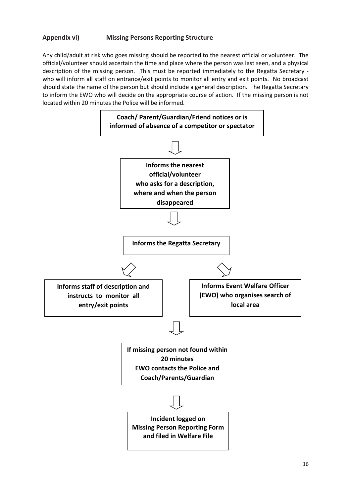#### **Appendix vi) Missing Persons Reporting Structure**

Any child/adult at risk who goes missing should be reported to the nearest official or volunteer. The official/volunteer should ascertain the time and place where the person was last seen, and a physical description of the missing person. This must be reported immediately to the Regatta Secretary who will inform all staff on entrance/exit points to monitor all entry and exit points. No broadcast should state the name of the person but should include a general description. The Regatta Secretary to inform the EWO who will decide on the appropriate course of action. If the missing person is not located within 20 minutes the Police will be informed.

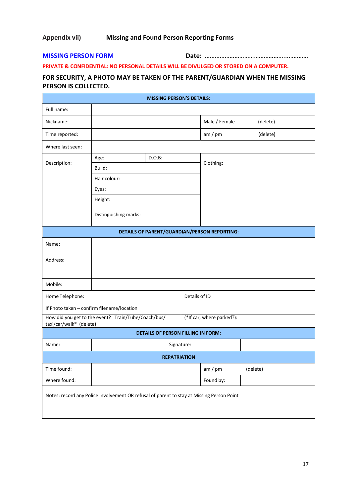#### **Appendix vii) Missing and Found Person Reporting Forms**

**MISSING PERSON FORM Date:** …………………………………………...…………

#### **PRIVATE & CONFIDENTIAL: NO PERSONAL DETAILS WILL BE DIVULGED OR STORED ON A COMPUTER.**

#### **FOR SECURITY, A PHOTO MAY BE TAKEN OF THE PARENT/GUARDIAN WHEN THE MISSING PERSON IS COLLECTED.**

| <b>MISSING PERSON'S DETAILS:</b>                                                          |                                            |  |  |                           |                                              |          |  |
|-------------------------------------------------------------------------------------------|--------------------------------------------|--|--|---------------------------|----------------------------------------------|----------|--|
| Full name:                                                                                |                                            |  |  |                           |                                              |          |  |
| Nickname:                                                                                 |                                            |  |  |                           | Male / Female                                | (delete) |  |
| Time reported:                                                                            |                                            |  |  |                           | am / pm                                      | (delete) |  |
| Where last seen:                                                                          |                                            |  |  |                           |                                              |          |  |
| Description:                                                                              | $D.O.B$ :<br>Age:                          |  |  |                           | Clothing:                                    |          |  |
|                                                                                           | Build:                                     |  |  |                           |                                              |          |  |
|                                                                                           | Hair colour:                               |  |  |                           |                                              |          |  |
|                                                                                           | Eyes:                                      |  |  |                           |                                              |          |  |
|                                                                                           | Height:                                    |  |  |                           |                                              |          |  |
|                                                                                           | Distinguishing marks:                      |  |  |                           |                                              |          |  |
|                                                                                           |                                            |  |  |                           | DETAILS OF PARENT/GUARDIAN/PERSON REPORTING: |          |  |
| Name:                                                                                     |                                            |  |  |                           |                                              |          |  |
| Address:                                                                                  |                                            |  |  |                           |                                              |          |  |
| Mobile:                                                                                   |                                            |  |  |                           |                                              |          |  |
| Home Telephone:                                                                           |                                            |  |  | Details of ID             |                                              |          |  |
|                                                                                           | If Photo taken - confirm filename/location |  |  |                           |                                              |          |  |
| How did you get to the event? Train/Tube/Coach/bus/<br>taxi/car/walk* (delete)            |                                            |  |  | (*If car, where parked?): |                                              |          |  |
| <b>DETAILS OF PERSON FILLING IN FORM:</b>                                                 |                                            |  |  |                           |                                              |          |  |
| Name:                                                                                     | Signature:                                 |  |  |                           |                                              |          |  |
| <b>REPATRIATION</b>                                                                       |                                            |  |  |                           |                                              |          |  |
| Time found:                                                                               |                                            |  |  |                           | am / pm                                      | (delete) |  |
| Where found:                                                                              |                                            |  |  |                           | Found by:                                    |          |  |
| Notes: record any Police involvement OR refusal of parent to stay at Missing Person Point |                                            |  |  |                           |                                              |          |  |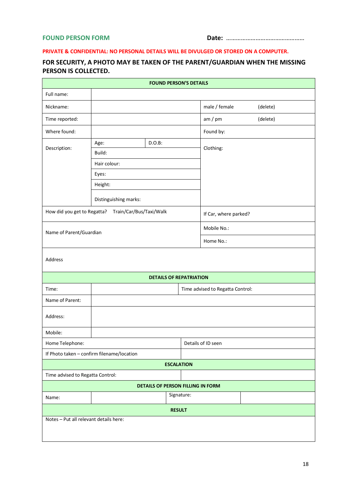#### **PRIVATE & CONFIDENTIAL: NO PERSONAL DETAILS WILL BE DIVULGED OR STORED ON A COMPUTER.**

#### **FOR SECURITY, A PHOTO MAY BE TAKEN OF THE PARENT/GUARDIAN WHEN THE MISSING PERSON IS COLLECTED.**

| <b>FOUND PERSON'S DETAILS</b>             |                                                     |                                |  |                       |          |  |  |
|-------------------------------------------|-----------------------------------------------------|--------------------------------|--|-----------------------|----------|--|--|
| Full name:                                |                                                     |                                |  |                       |          |  |  |
| Nickname:                                 |                                                     |                                |  | male / female         | (delete) |  |  |
| Time reported:                            |                                                     |                                |  | am / pm               | (delete) |  |  |
| Where found:                              |                                                     |                                |  | Found by:             |          |  |  |
|                                           | $D.O.B$ :<br>Age:                                   |                                |  |                       |          |  |  |
| Description:                              | Build:                                              |                                |  | Clothing:             |          |  |  |
|                                           | Hair colour:                                        |                                |  |                       |          |  |  |
|                                           | Eyes:                                               |                                |  |                       |          |  |  |
|                                           | Height:                                             |                                |  |                       |          |  |  |
|                                           | Distinguishing marks:                               |                                |  |                       |          |  |  |
|                                           | How did you get to Regatta? Train/Car/Bus/Taxi/Walk |                                |  | If Car, where parked? |          |  |  |
| Name of Parent/Guardian                   |                                                     |                                |  | Mobile No.:           |          |  |  |
|                                           |                                                     |                                |  | Home No.:             |          |  |  |
| Address                                   |                                                     |                                |  |                       |          |  |  |
|                                           |                                                     | <b>DETAILS OF REPATRIATION</b> |  |                       |          |  |  |
| Time advised to Regatta Control:<br>Time: |                                                     |                                |  |                       |          |  |  |
| Name of Parent:                           |                                                     |                                |  |                       |          |  |  |
| Address:                                  |                                                     |                                |  |                       |          |  |  |
| Mobile:                                   |                                                     |                                |  |                       |          |  |  |
| Home Telephone:                           |                                                     |                                |  | Details of ID seen    |          |  |  |
|                                           | If Photo taken - confirm filename/location          |                                |  |                       |          |  |  |
| <b>ESCALATION</b>                         |                                                     |                                |  |                       |          |  |  |
| Time advised to Regatta Control:          |                                                     |                                |  |                       |          |  |  |
| DETAILS OF PERSON FILLING IN FORM         |                                                     |                                |  |                       |          |  |  |
| Signature:<br>Name:                       |                                                     |                                |  |                       |          |  |  |
| <b>RESULT</b>                             |                                                     |                                |  |                       |          |  |  |
| Notes - Put all relevant details here:    |                                                     |                                |  |                       |          |  |  |
|                                           |                                                     |                                |  |                       |          |  |  |